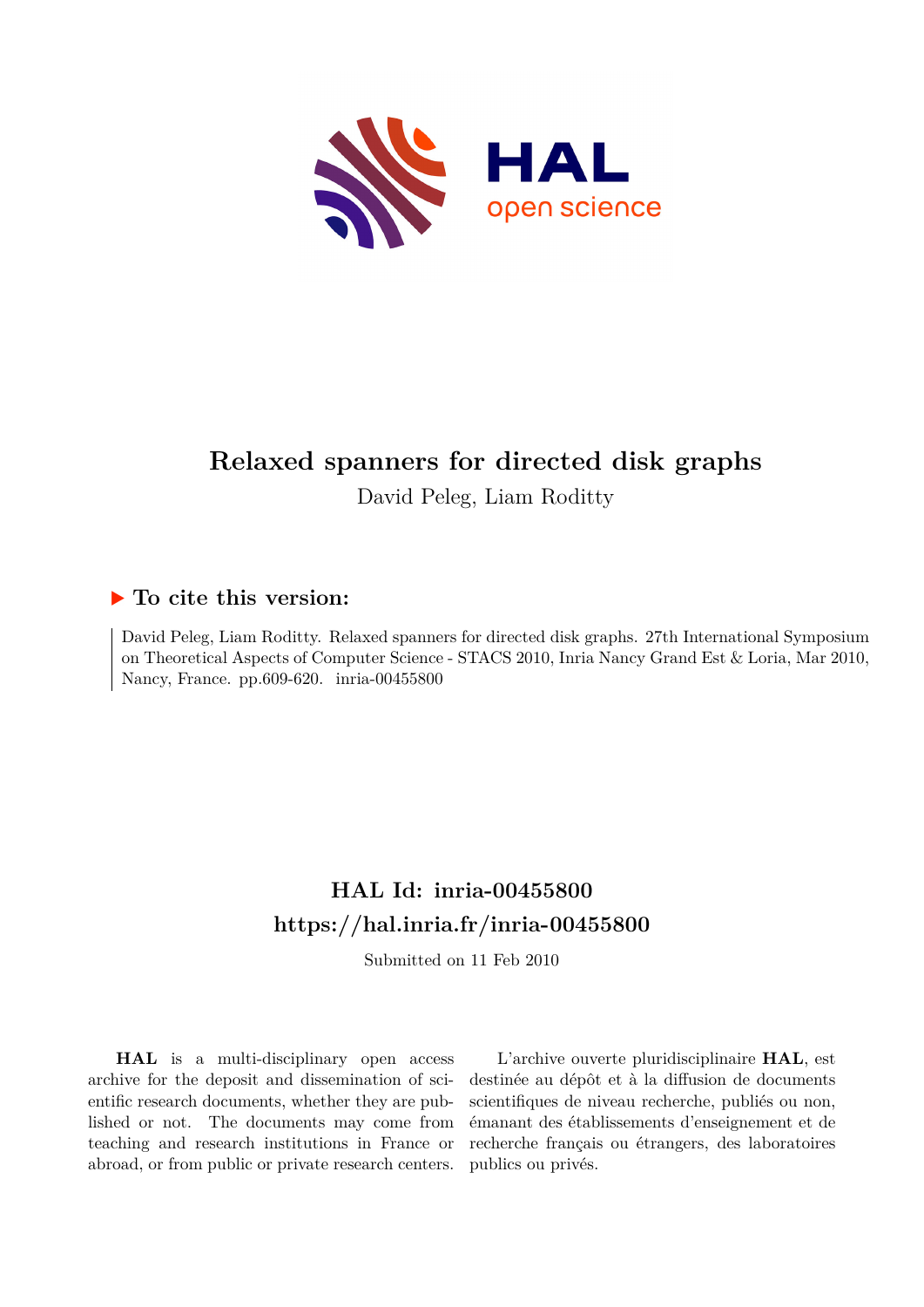

# **Relaxed spanners for directed disk graphs**

David Peleg, Liam Roditty

# **To cite this version:**

David Peleg, Liam Roditty. Relaxed spanners for directed disk graphs. 27th International Symposium on Theoretical Aspects of Computer Science - STACS 2010, Inria Nancy Grand Est & Loria, Mar 2010, Nancy, France. pp.609-620. inria-00455800

# **HAL Id: inria-00455800 <https://hal.inria.fr/inria-00455800>**

Submitted on 11 Feb 2010

**HAL** is a multi-disciplinary open access archive for the deposit and dissemination of scientific research documents, whether they are published or not. The documents may come from teaching and research institutions in France or abroad, or from public or private research centers.

L'archive ouverte pluridisciplinaire **HAL**, est destinée au dépôt et à la diffusion de documents scientifiques de niveau recherche, publiés ou non, émanant des établissements d'enseignement et de recherche français ou étrangers, des laboratoires publics ou privés.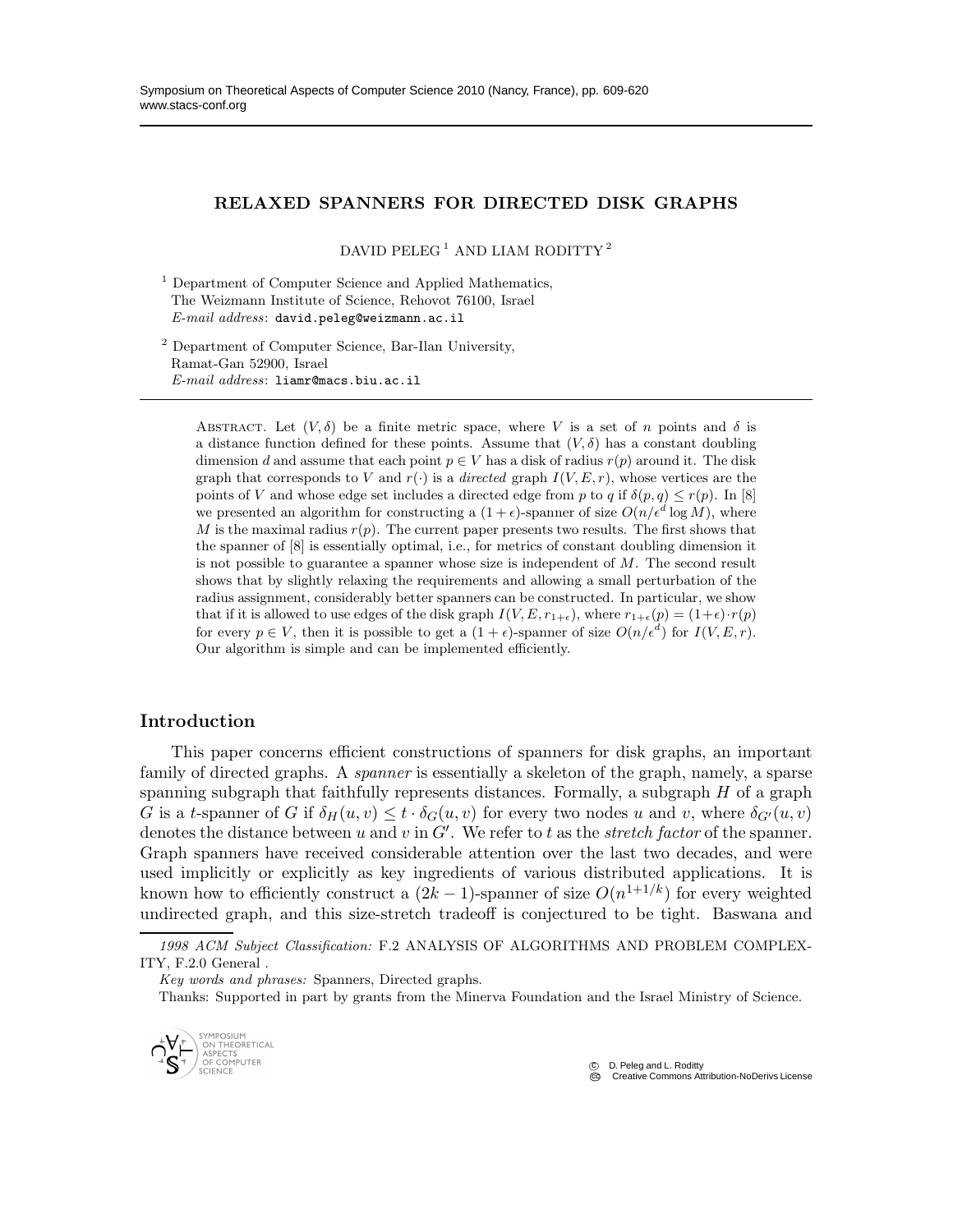### RELAXED SPANNERS FOR DIRECTED DISK GRAPHS

DAVID PELEG<sup>1</sup> AND LIAM RODITTY<sup>2</sup>

<sup>1</sup> Department of Computer Science and Applied Mathematics, The Weizmann Institute of Science, Rehovot 76100, Israel *E-mail address*: david.peleg@weizmann.ac.il

<sup>2</sup> Department of Computer Science, Bar-Ilan University, Ramat-Gan 52900, Israel *E-mail address*: liamr@macs.biu.ac.il

ABSTRACT. Let  $(V, \delta)$  be a finite metric space, where V is a set of n points and  $\delta$  is a distance function defined for these points. Assume that  $(V, \delta)$  has a constant doubling dimension d and assume that each point  $p \in V$  has a disk of radius  $r(p)$  around it. The disk graph that corresponds to V and  $r(\cdot)$  is a *directed* graph  $I(V, E, r)$ , whose vertices are the points of V and whose edge set includes a directed edge from p to q if  $\delta(p,q) \leq r(p)$ . In [8] we presented an algorithm for constructing a  $(1+\epsilon)$ -spanner of size  $O(n/\epsilon^d \log M)$ , where M is the maximal radius  $r(p)$ . The current paper presents two results. The first shows that the spanner of [8] is essentially optimal, i.e., for metrics of constant doubling dimension it is not possible to guarantee a spanner whose size is independent of  $M$ . The second result shows that by slightly relaxing the requirements and allowing a small perturbation of the radius assignment, considerably better spanners can be constructed. In particular, we show that if it is allowed to use edges of the disk graph  $I(V, E, r_{1+\epsilon})$ , where  $r_{1+\epsilon}(p) = (1+\epsilon) \cdot r(p)$ for every  $p \in V$ , then it is possible to get a  $(1 + \epsilon)$ -spanner of size  $O(n/\epsilon^d)$  for  $I(V, E, r)$ . Our algorithm is simple and can be implemented efficiently.

### Introduction

This paper concerns efficient constructions of spanners for disk graphs, an important family of directed graphs. A *spanner* is essentially a skeleton of the graph, namely, a sparse spanning subgraph that faithfully represents distances. Formally, a subgraph  $H$  of a graph G is a t-spanner of G if  $\delta_H(u, v) \le t \cdot \delta_G(u, v)$  for every two nodes u and v, where  $\delta_{G'}(u, v)$ denotes the distance between u and v in  $G'$ . We refer to t as the *stretch factor* of the spanner. Graph spanners have received considerable attention over the last two decades, and were used implicitly or explicitly as key ingredients of various distributed applications. It is known how to efficiently construct a  $(2k-1)$ -spanner of size  $O(n^{1+1/k})$  for every weighted undirected graph, and this size-stretch tradeoff is conjectured to be tight. Baswana and

*Key words and phrases:* Spanners, Directed graphs.

Thanks: Supported in part by grants from the Minerva Foundation and the Israel Ministry of Science.



 c D. Peleg and L. Roditty **Creative Commons Attribution-NoDerivs License** 

*<sup>1998</sup> ACM Subject Classification:* F.2 ANALYSIS OF ALGORITHMS AND PROBLEM COMPLEX-ITY, F.2.0 General .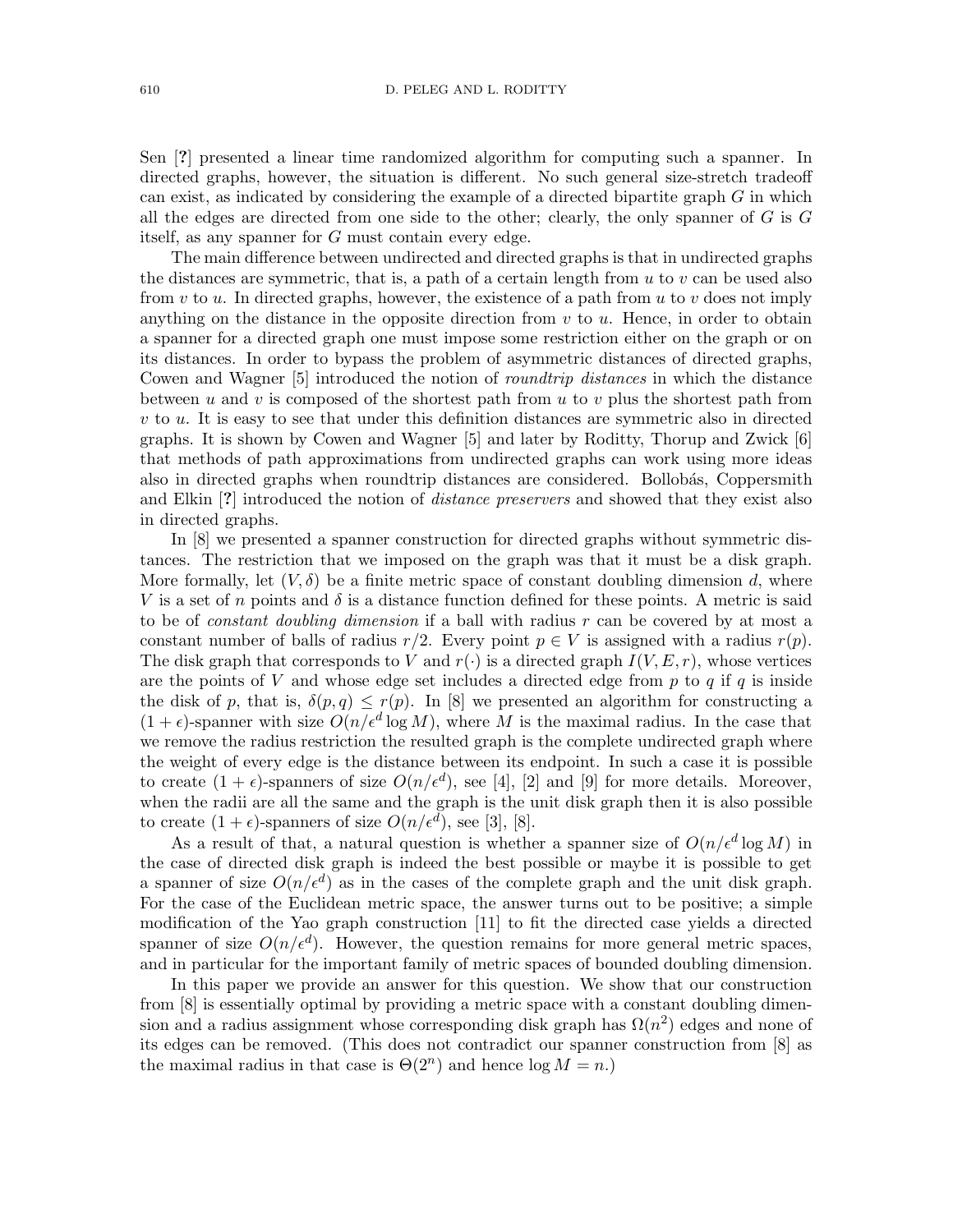Sen [?] presented a linear time randomized algorithm for computing such a spanner. In directed graphs, however, the situation is different. No such general size-stretch tradeoff can exist, as indicated by considering the example of a directed bipartite graph  $G$  in which all the edges are directed from one side to the other; clearly, the only spanner of  $G$  is  $G$ itself, as any spanner for G must contain every edge.

The main difference between undirected and directed graphs is that in undirected graphs the distances are symmetric, that is, a path of a certain length from  $u$  to  $v$  can be used also from v to u. In directed graphs, however, the existence of a path from u to v does not imply anything on the distance in the opposite direction from  $v$  to  $u$ . Hence, in order to obtain a spanner for a directed graph one must impose some restriction either on the graph or on its distances. In order to bypass the problem of asymmetric distances of directed graphs, Cowen and Wagner [5] introduced the notion of roundtrip distances in which the distance between u and v is composed of the shortest path from u to v plus the shortest path from  $v$  to  $u$ . It is easy to see that under this definition distances are symmetric also in directed graphs. It is shown by Cowen and Wagner [5] and later by Roditty, Thorup and Zwick [6] that methods of path approximations from undirected graphs can work using more ideas also in directed graphs when roundtrip distances are considered. Bollobás, Coppersmith and Elkin [?] introduced the notion of *distance preservers* and showed that they exist also in directed graphs.

In [8] we presented a spanner construction for directed graphs without symmetric distances. The restriction that we imposed on the graph was that it must be a disk graph. More formally, let  $(V, \delta)$  be a finite metric space of constant doubling dimension d, where V is a set of n points and  $\delta$  is a distance function defined for these points. A metric is said to be of *constant doubling dimension* if a ball with radius r can be covered by at most a constant number of balls of radius  $r/2$ . Every point  $p \in V$  is assigned with a radius  $r(p)$ . The disk graph that corresponds to V and  $r(\cdot)$  is a directed graph  $I(V, E, r)$ , whose vertices are the points of V and whose edge set includes a directed edge from  $p$  to  $q$  if  $q$  is inside the disk of p, that is,  $\delta(p,q) \leq r(p)$ . In [8] we presented an algorithm for constructing a  $(1 + \epsilon)$ -spanner with size  $O(n/\epsilon^d \log M)$ , where M is the maximal radius. In the case that we remove the radius restriction the resulted graph is the complete undirected graph where the weight of every edge is the distance between its endpoint. In such a case it is possible to create  $(1 + \epsilon)$ -spanners of size  $O(n/\epsilon^d)$ , see [4], [2] and [9] for more details. Moreover, when the radii are all the same and the graph is the unit disk graph then it is also possible to create  $(1 + \epsilon)$ -spanners of size  $O(n/\epsilon^d)$ , see [3], [8].

As a result of that, a natural question is whether a spanner size of  $O(n/\epsilon^d \log M)$  in the case of directed disk graph is indeed the best possible or maybe it is possible to get a spanner of size  $O(n/\epsilon^d)$  as in the cases of the complete graph and the unit disk graph. For the case of the Euclidean metric space, the answer turns out to be positive; a simple modification of the Yao graph construction [11] to fit the directed case yields a directed spanner of size  $O(n/\epsilon^d)$ . However, the question remains for more general metric spaces, and in particular for the important family of metric spaces of bounded doubling dimension.

In this paper we provide an answer for this question. We show that our construction from [8] is essentially optimal by providing a metric space with a constant doubling dimension and a radius assignment whose corresponding disk graph has  $\Omega(n^2)$  edges and none of its edges can be removed. (This does not contradict our spanner construction from [8] as the maximal radius in that case is  $\Theta(2^n)$  and hence  $\log M = n$ .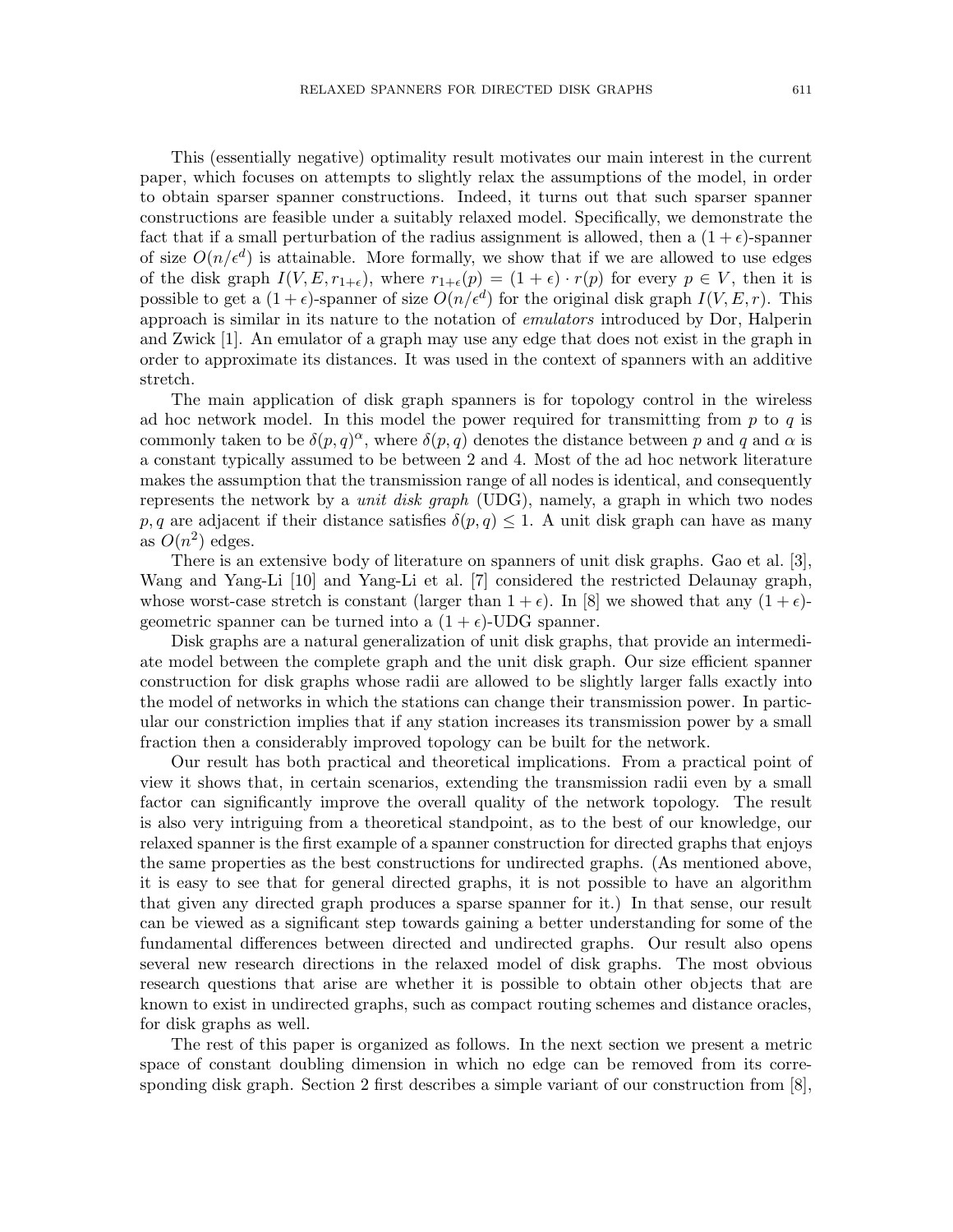This (essentially negative) optimality result motivates our main interest in the current paper, which focuses on attempts to slightly relax the assumptions of the model, in order to obtain sparser spanner constructions. Indeed, it turns out that such sparser spanner constructions are feasible under a suitably relaxed model. Specifically, we demonstrate the fact that if a small perturbation of the radius assignment is allowed, then a  $(1 + \epsilon)$ -spanner of size  $O(n/\epsilon^d)$  is attainable. More formally, we show that if we are allowed to use edges of the disk graph  $I(V, E, r_{1+\epsilon})$ , where  $r_{1+\epsilon}(p) = (1+\epsilon) \cdot r(p)$  for every  $p \in V$ , then it is possible to get a  $(1+\epsilon)$ -spanner of size  $O(n/\epsilon^d)$  for the original disk graph  $I(V, E, r)$ . This approach is similar in its nature to the notation of emulators introduced by Dor, Halperin and Zwick [1]. An emulator of a graph may use any edge that does not exist in the graph in order to approximate its distances. It was used in the context of spanners with an additive stretch.

The main application of disk graph spanners is for topology control in the wireless ad hoc network model. In this model the power required for transmitting from  $p$  to  $q$  is commonly taken to be  $\delta(p,q)^\alpha$ , where  $\delta(p,q)$  denotes the distance between p and q and  $\alpha$  is a constant typically assumed to be between 2 and 4. Most of the ad hoc network literature makes the assumption that the transmission range of all nodes is identical, and consequently represents the network by a *unit disk graph* (UDG), namely, a graph in which two nodes p, q are adjacent if their distance satisfies  $\delta(p,q) \leq 1$ . A unit disk graph can have as many as  $O(n^2)$  edges.

There is an extensive body of literature on spanners of unit disk graphs. Gao et al. [3], Wang and Yang-Li [10] and Yang-Li et al. [7] considered the restricted Delaunay graph, whose worst-case stretch is constant (larger than  $1 + \epsilon$ ). In [8] we showed that any  $(1 + \epsilon)$ geometric spanner can be turned into a  $(1 + \epsilon)$ -UDG spanner.

Disk graphs are a natural generalization of unit disk graphs, that provide an intermediate model between the complete graph and the unit disk graph. Our size efficient spanner construction for disk graphs whose radii are allowed to be slightly larger falls exactly into the model of networks in which the stations can change their transmission power. In particular our constriction implies that if any station increases its transmission power by a small fraction then a considerably improved topology can be built for the network.

Our result has both practical and theoretical implications. From a practical point of view it shows that, in certain scenarios, extending the transmission radii even by a small factor can significantly improve the overall quality of the network topology. The result is also very intriguing from a theoretical standpoint, as to the best of our knowledge, our relaxed spanner is the first example of a spanner construction for directed graphs that enjoys the same properties as the best constructions for undirected graphs. (As mentioned above, it is easy to see that for general directed graphs, it is not possible to have an algorithm that given any directed graph produces a sparse spanner for it.) In that sense, our result can be viewed as a significant step towards gaining a better understanding for some of the fundamental differences between directed and undirected graphs. Our result also opens several new research directions in the relaxed model of disk graphs. The most obvious research questions that arise are whether it is possible to obtain other objects that are known to exist in undirected graphs, such as compact routing schemes and distance oracles, for disk graphs as well.

The rest of this paper is organized as follows. In the next section we present a metric space of constant doubling dimension in which no edge can be removed from its corresponding disk graph. Section 2 first describes a simple variant of our construction from [8],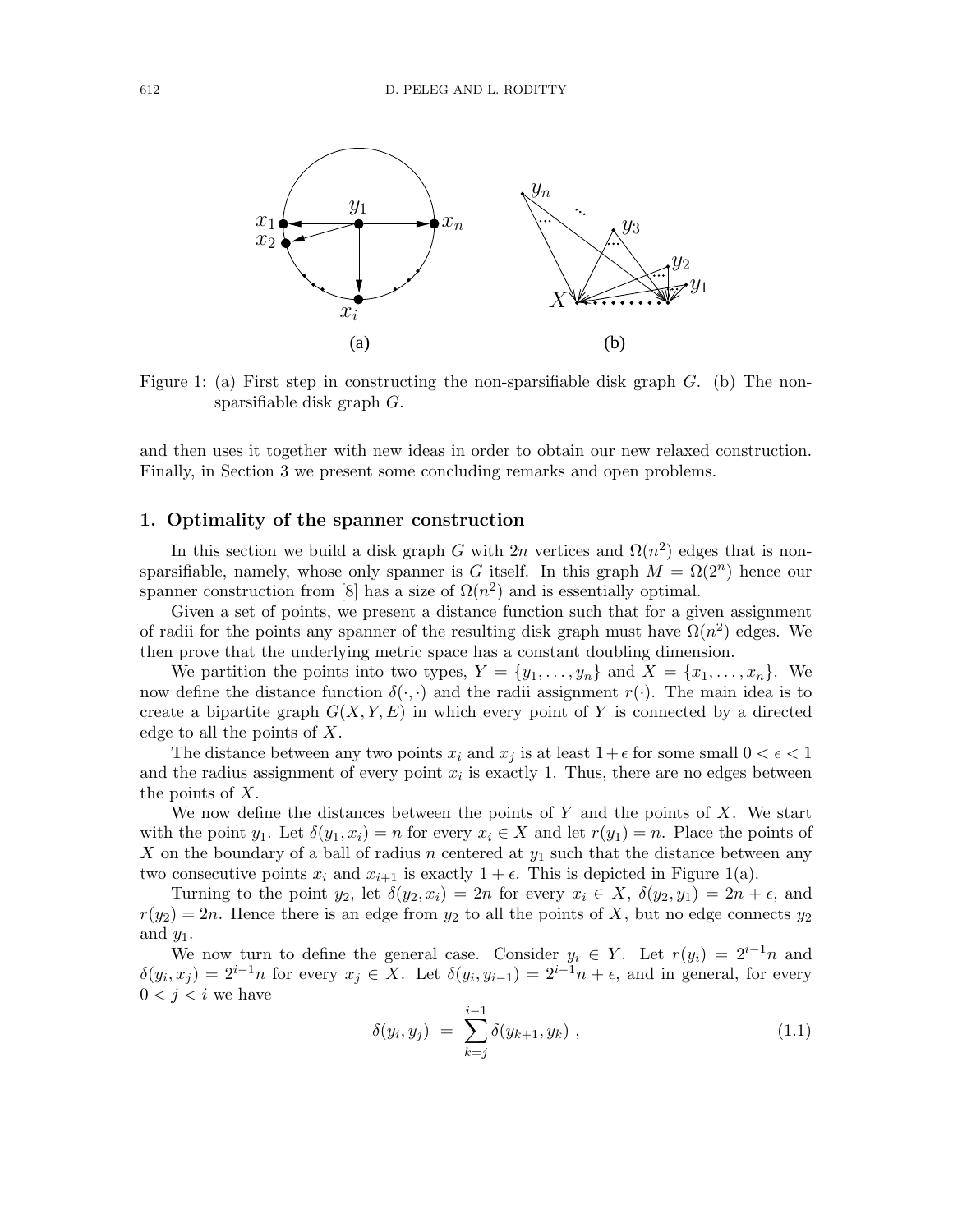

Figure 1: (a) First step in constructing the non-sparsifiable disk graph  $G$ . (b) The nonsparsifiable disk graph G.

and then uses it together with new ideas in order to obtain our new relaxed construction. Finally, in Section 3 we present some concluding remarks and open problems.

#### 1. Optimality of the spanner construction

In this section we build a disk graph G with  $2n$  vertices and  $\Omega(n^2)$  edges that is nonsparsifiable, namely, whose only spanner is G itself. In this graph  $M = \Omega(2^n)$  hence our spanner construction from [8] has a size of  $\Omega(n^2)$  and is essentially optimal.

Given a set of points, we present a distance function such that for a given assignment of radii for the points any spanner of the resulting disk graph must have  $\Omega(n^2)$  edges. We then prove that the underlying metric space has a constant doubling dimension.

We partition the points into two types,  $Y = \{y_1, \ldots, y_n\}$  and  $X = \{x_1, \ldots, x_n\}$ . We now define the distance function  $\delta(\cdot, \cdot)$  and the radii assignment  $r(\cdot)$ . The main idea is to create a bipartite graph  $G(X, Y, E)$  in which every point of Y is connected by a directed edge to all the points of X.

The distance between any two points  $x_i$  and  $x_j$  is at least  $1+\epsilon$  for some small  $0 < \epsilon < 1$ and the radius assignment of every point  $x_i$  is exactly 1. Thus, there are no edges between the points of  $X$ .

We now define the distances between the points of  $Y$  and the points of  $X$ . We start with the point  $y_1$ . Let  $\delta(y_1, x_i) = n$  for every  $x_i \in X$  and let  $r(y_1) = n$ . Place the points of X on the boundary of a ball of radius n centered at  $y_1$  such that the distance between any two consecutive points  $x_i$  and  $x_{i+1}$  is exactly  $1 + \epsilon$ . This is depicted in Figure 1(a).

Turning to the point  $y_2$ , let  $\delta(y_2, x_i) = 2n$  for every  $x_i \in X$ ,  $\delta(y_2, y_1) = 2n + \epsilon$ , and  $r(y_2) = 2n$ . Hence there is an edge from  $y_2$  to all the points of X, but no edge connects  $y_2$ and  $y_1$ .

We now turn to define the general case. Consider  $y_i \in Y$ . Let  $r(y_i) = 2^{i-1}n$  and  $\delta(y_i, x_j) = 2^{i-1}n$  for every  $x_j \in X$ . Let  $\delta(y_i, y_{i-1}) = 2^{i-1}n + \epsilon$ , and in general, for every  $0 < j < i$  we have

$$
\delta(y_i, y_j) = \sum_{k=j}^{i-1} \delta(y_{k+1}, y_k) , \qquad (1.1)
$$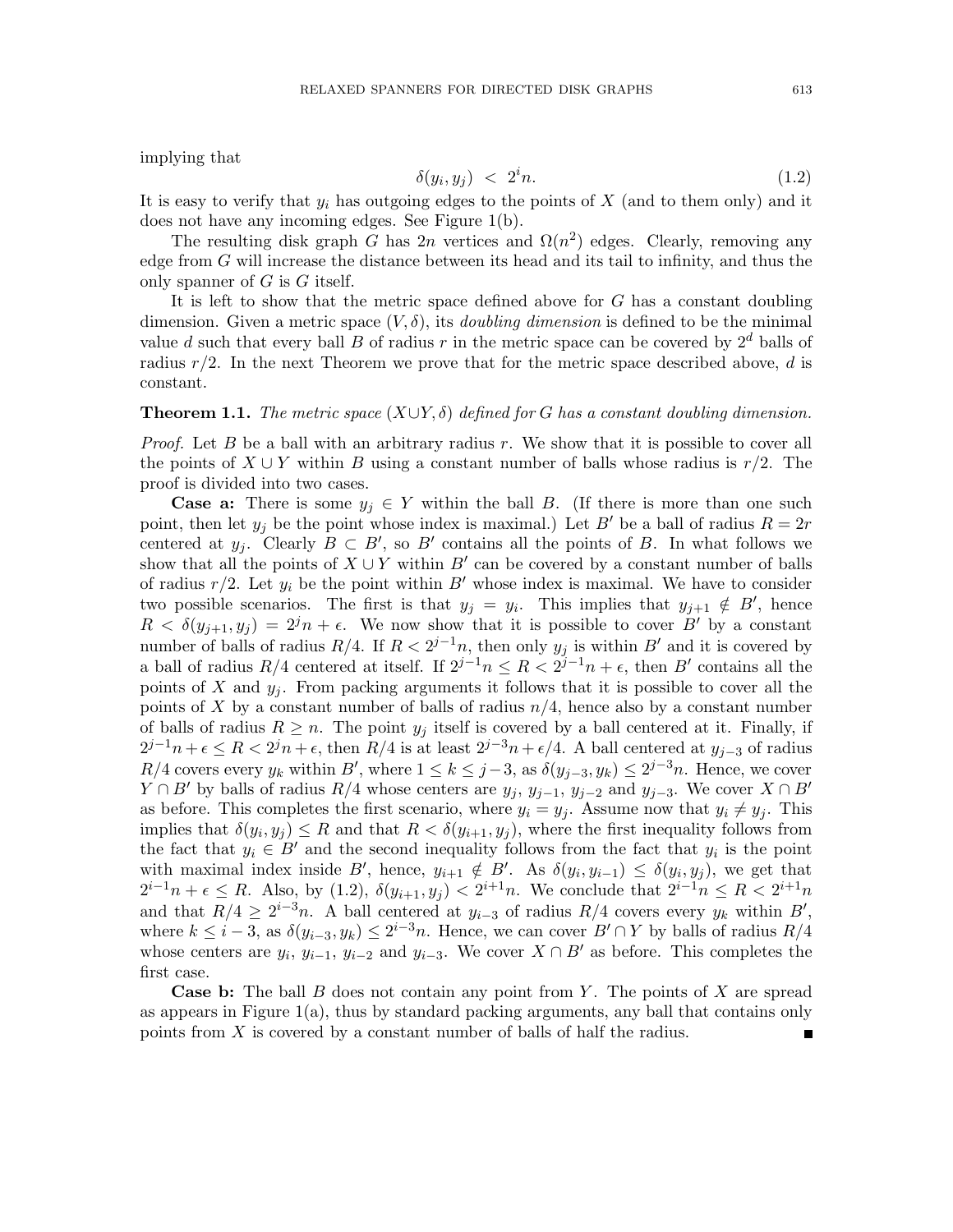implying that

$$
\delta(y_i, y_j) < 2^i n. \tag{1.2}
$$

It is easy to verify that  $y_i$  has outgoing edges to the points of  $X$  (and to them only) and it does not have any incoming edges. See Figure 1(b).

The resulting disk graph G has  $2n$  vertices and  $\Omega(n^2)$  edges. Clearly, removing any edge from  $G$  will increase the distance between its head and its tail to infinity, and thus the only spanner of  $G$  is  $G$  itself.

It is left to show that the metric space defined above for G has a constant doubling dimension. Given a metric space  $(V, \delta)$ , its *doubling dimension* is defined to be the minimal value d such that every ball B of radius r in the metric space can be covered by  $2^d$  balls of radius  $r/2$ . In the next Theorem we prove that for the metric space described above, d is constant.

#### **Theorem 1.1.** The metric space  $(X \cup Y, \delta)$  defined for G has a constant doubling dimension.

*Proof.* Let  $B$  be a ball with an arbitrary radius  $r$ . We show that it is possible to cover all the points of  $X \cup Y$  within B using a constant number of balls whose radius is r/2. The proof is divided into two cases.

**Case a:** There is some  $y_i \in Y$  within the ball B. (If there is more than one such point, then let  $y_j$  be the point whose index is maximal.) Let B' be a ball of radius  $R = 2r$ centered at  $y_j$ . Clearly  $B \subset B'$ , so  $B'$  contains all the points of B. In what follows we show that all the points of  $X \cup Y$  within  $B'$  can be covered by a constant number of balls of radius  $r/2$ . Let  $y_i$  be the point within B' whose index is maximal. We have to consider two possible scenarios. The first is that  $y_j = y_i$ . This implies that  $y_{j+1} \notin B'$ , hence  $R < \delta(y_{j+1}, y_j) = 2^{j}n + \epsilon$ . We now show that it is possible to cover B' by a constant number of balls of radius  $R/4$ . If  $R < 2^{j-1}n$ , then only  $y_j$  is within  $B'$  and it is covered by a ball of radius  $R/4$  centered at itself. If  $2^{j-1}n \leq R < 2^{j-1}n + \epsilon$ , then B' contains all the points of X and  $y_i$ . From packing arguments it follows that it is possible to cover all the points of X by a constant number of balls of radius  $n/4$ , hence also by a constant number of balls of radius  $R \geq n$ . The point  $y_i$  itself is covered by a ball centered at it. Finally, if  $2^{j-1}n + \epsilon \leq R < 2^{j}n + \epsilon$ , then  $R/4$  is at least  $2^{j-3}n + \epsilon/4$ . A ball centered at  $y_{j-3}$  of radius  $R/4$  covers every  $y_k$  within B', where  $1 \leq k \leq j-3$ , as  $\delta(y_{j-3}, y_k) \leq 2^{j-3}n$ . Hence, we cover  $Y \cap B'$  by balls of radius  $R/4$  whose centers are  $y_j$ ,  $y_{j-1}$ ,  $y_{j-2}$  and  $y_{j-3}$ . We cover  $X \cap B'$ as before. This completes the first scenario, where  $y_i = y_j$ . Assume now that  $y_i \neq y_j$ . This implies that  $\delta(y_i, y_j) \leq R$  and that  $R < \delta(y_{i+1}, y_j)$ , where the first inequality follows from the fact that  $y_i \in B'$  and the second inequality follows from the fact that  $y_i$  is the point with maximal index inside B', hence,  $y_{i+1} \notin B'$ . As  $\delta(y_i, y_{i-1}) \leq \delta(y_i, y_j)$ , we get that  $2^{i-1}n + \epsilon \leq R$ . Also, by (1.2),  $\delta(y_{i+1}, y_j) < 2^{i+1}n$ . We conclude that  $2^{i-1}n \leq R < 2^{i+1}n$ and that  $R/4 \geq 2^{i-3}n$ . A ball centered at  $y_{i-3}$  of radius  $R/4$  covers every  $y_k$  within  $B'$ , where  $k \leq i-3$ , as  $\delta(y_{i-3}, y_k) \leq 2^{i-3}n$ . Hence, we can cover  $B' \cap Y$  by balls of radius  $R/4$ whose centers are  $y_i$ ,  $y_{i-1}$ ,  $y_{i-2}$  and  $y_{i-3}$ . We cover  $X \cap B'$  as before. This completes the first case.

**Case b:** The ball  $B$  does not contain any point from  $Y$ . The points of  $X$  are spread as appears in Figure  $1(a)$ , thus by standard packing arguments, any ball that contains only points from X is covered by a constant number of balls of half the radius.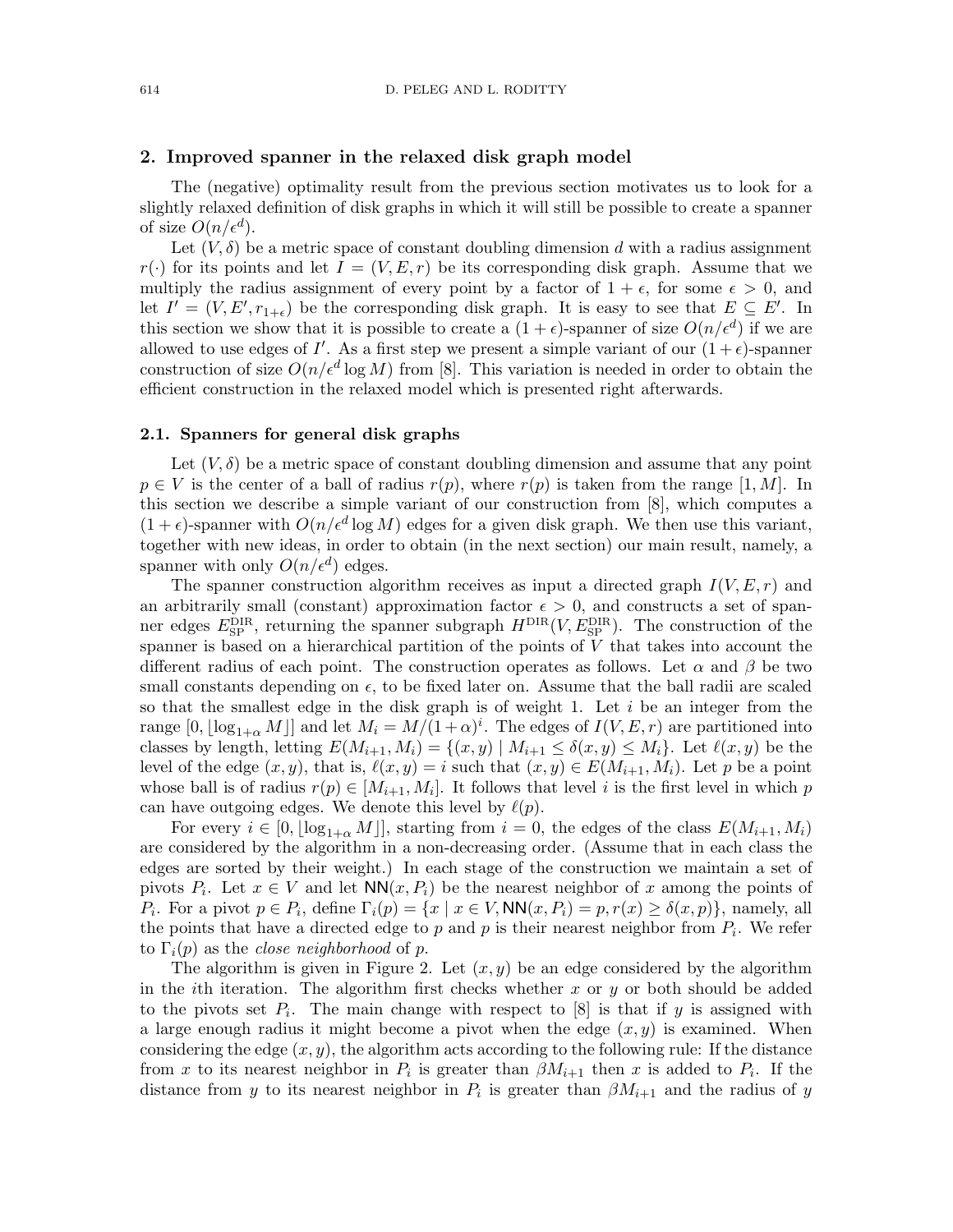#### 2. Improved spanner in the relaxed disk graph model

The (negative) optimality result from the previous section motivates us to look for a slightly relaxed definition of disk graphs in which it will still be possible to create a spanner of size  $O(n/\epsilon^d)$ .

Let  $(V, \delta)$  be a metric space of constant doubling dimension d with a radius assignment  $r(\cdot)$  for its points and let  $I = (V, E, r)$  be its corresponding disk graph. Assume that we multiply the radius assignment of every point by a factor of  $1 + \epsilon$ , for some  $\epsilon > 0$ , and let  $I' = (V, E', r_{1+\epsilon})$  be the corresponding disk graph. It is easy to see that  $E \subseteq E'$ . In this section we show that it is possible to create a  $(1+\epsilon)$ -spanner of size  $O(n/\epsilon^d)$  if we are allowed to use edges of I'. As a first step we present a simple variant of our  $(1+\epsilon)$ -spanner construction of size  $O(n/\epsilon^d \log M)$  from [8]. This variation is needed in order to obtain the efficient construction in the relaxed model which is presented right afterwards.

#### 2.1. Spanners for general disk graphs

Let  $(V, \delta)$  be a metric space of constant doubling dimension and assume that any point  $p \in V$  is the center of a ball of radius  $r(p)$ , where  $r(p)$  is taken from the range [1, M]. In this section we describe a simple variant of our construction from [8], which computes a  $(1+\epsilon)$ -spanner with  $O(n/\epsilon^d \log M)$  edges for a given disk graph. We then use this variant, together with new ideas, in order to obtain (in the next section) our main result, namely, a spanner with only  $O(n/\epsilon^d)$  edges.

The spanner construction algorithm receives as input a directed graph  $I(V, E, r)$  and an arbitrarily small (constant) approximation factor  $\epsilon > 0$ , and constructs a set of spanner edges  $E_{\text{SP}}^{\text{DIR}}$ , returning the spanner subgraph  $H^{\text{DIR}}(V, E_{\text{SP}}^{\text{DIR}})$ . The construction of the spanner is based on a hierarchical partition of the points of  $V$  that takes into account the different radius of each point. The construction operates as follows. Let  $\alpha$  and  $\beta$  be two small constants depending on  $\epsilon$ , to be fixed later on. Assume that the ball radii are scaled so that the smallest edge in the disk graph is of weight 1. Let  $i$  be an integer from the range  $[0, \lfloor \log_{1+\alpha} M \rfloor]$  and let  $M_i = M/(1+\alpha)^i$ . The edges of  $I(V, E, r)$  are partitioned into classes by length, letting  $E(M_{i+1}, M_i) = \{(x, y) | M_{i+1} \leq \delta(x, y) \leq M_i\}$ . Let  $\ell(x, y)$  be the level of the edge  $(x, y)$ , that is,  $\ell(x, y) = i$  such that  $(x, y) \in E(M_{i+1}, M_i)$ . Let p be a point whose ball is of radius  $r(p) \in [M_{i+1}, M_i]$ . It follows that level is the first level in which p can have outgoing edges. We denote this level by  $\ell(p)$ .

For every  $i \in [0, \lfloor \log_{1+\alpha} M \rfloor]$ , starting from  $i = 0$ , the edges of the class  $E(M_{i+1}, M_i)$ are considered by the algorithm in a non-decreasing order. (Assume that in each class the edges are sorted by their weight.) In each stage of the construction we maintain a set of pivots  $P_i$ . Let  $x \in V$  and let  $NN(x, P_i)$  be the nearest neighbor of x among the points of  $P_i$ . For a pivot  $p \in P_i$ , define  $\Gamma_i(p) = \{x \mid x \in V, \mathsf{NN}(x, P_i) = p, r(x) \geq \delta(x, p)\}\)$ , namely, all the points that have a directed edge to  $p$  and  $p$  is their nearest neighbor from  $P_i$ . We refer to  $\Gamma_i(p)$  as the *close neighborhood* of p.

The algorithm is given in Figure 2. Let  $(x, y)$  be an edge considered by the algorithm in the *i*th iteration. The algorithm first checks whether x or y or both should be added to the pivots set  $P_i$ . The main change with respect to [8] is that if y is assigned with a large enough radius it might become a pivot when the edge  $(x, y)$  is examined. When considering the edge  $(x, y)$ , the algorithm acts according to the following rule: If the distance from x to its nearest neighbor in  $P_i$  is greater than  $\beta M_{i+1}$  then x is added to  $P_i$ . If the distance from y to its nearest neighbor in  $P_i$  is greater than  $\beta M_{i+1}$  and the radius of y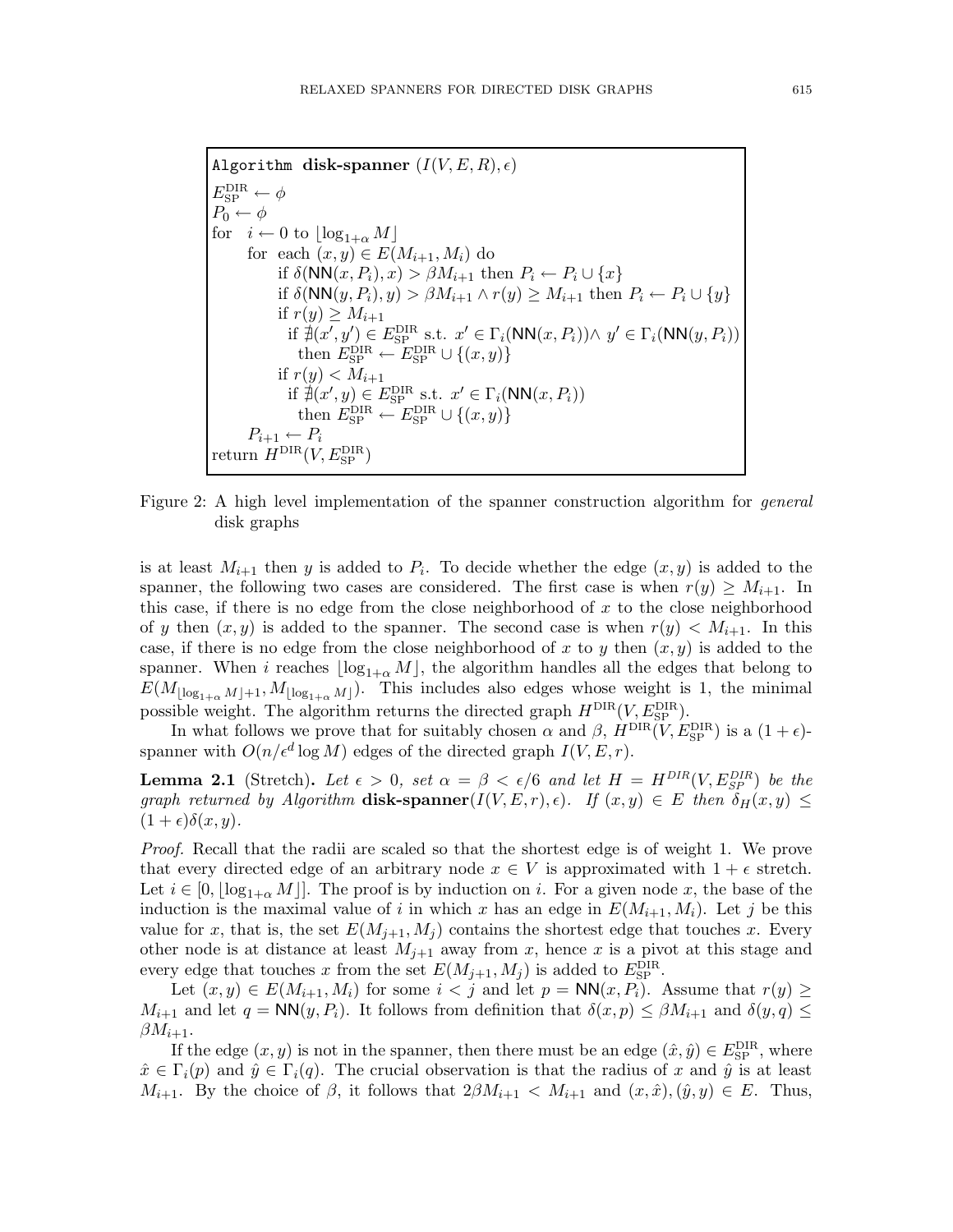Algorithm disk-spanner  $(I(V, E, R), \epsilon)$  $E_{\rm SP}^{\rm DIR} \leftarrow \phi$  $P_0 \leftarrow \phi$ for  $i \leftarrow 0$  to  $\lfloor \log_{1+\alpha} M \rfloor$ for each  $(x, y) \in E(M_{i+1}, M_i)$  do if  $\delta(NN(x, P_i), x) > \beta M_{i+1}$  then  $P_i \leftarrow P_i \cup \{x\}$ if  $\delta(NN(y, P_i), y) > \beta M_{i+1} \wedge r(y) \geq M_{i+1}$  then  $P_i \leftarrow P_i \cup \{y\}$ if  $r(y) \geq M_{i+1}$ if  $\overline{\mathcal{A}}(x', y') \in E_{\text{SP}}^{\text{DIR}}$  s.t.  $x' \in \Gamma_i(\text{NN}(x, P_i)) \wedge y' \in \Gamma_i(\text{NN}(y, P_i))$ then  $E_{\text{SP}}^{\text{DIR}} \leftarrow E_{\text{SP}}^{\text{DIR}} \cup \{(x, y)\}$ if  $r(y) < M_{i+1}$ if  $\overline{\nexists}(x',y) \in E_{\text{SP}}^{\text{DIR}}$  s.t.  $x' \in \Gamma_i(\text{NN}(x,P_i))$ then  $E_{\text{SP}}^{\text{DIR}} \leftarrow E_{\text{SP}}^{\text{DIR}} \cup \{(x, y)\}$  $P_{i+1} \leftarrow P_i$ return  $H^{\text{DIR}}(V, E_{\text{SP}}^{\text{DIR}})$ 

Figure 2: A high level implementation of the spanner construction algorithm for *general* disk graphs

is at least  $M_{i+1}$  then y is added to  $P_i$ . To decide whether the edge  $(x, y)$  is added to the spanner, the following two cases are considered. The first case is when  $r(y) \geq M_{i+1}$ . In this case, if there is no edge from the close neighborhood of  $x$  to the close neighborhood of y then  $(x, y)$  is added to the spanner. The second case is when  $r(y) \lt M_{i+1}$ . In this case, if there is no edge from the close neighborhood of x to y then  $(x, y)$  is added to the spanner. When *i* reaches  $\lfloor \log_{1+\alpha} M \rfloor$ , the algorithm handles all the edges that belong to  $E(M_{\lfloor \log_{1+\alpha} M \rfloor + 1}, M_{\lfloor \log_{1+\alpha} M \rfloor}).$  This includes also edges whose weight is 1, the minimal possible weight. The algorithm returns the directed graph  $H^{DIR}(V, E_{SP}^{DIR})$ .

In what follows we prove that for suitably chosen  $\alpha$  and  $\beta$ ,  $\hat{H}^{\text{DIR}}(V, E_{\text{SP}}^{\text{DIR}})$  is a  $(1 + \epsilon)$ spanner with  $O(n/\epsilon^d \log M)$  edges of the directed graph  $I(V, E, r)$ .

**Lemma 2.1** (Stretch). Let  $\epsilon > 0$ , set  $\alpha = \beta < \epsilon/6$  and let  $H = H^{DIR}(V, E_{SP}^{DIR})$  be the graph returned by Algorithm disk-spanner $(I(V, E, r), \epsilon)$ . If  $(x, y) \in E$  then  $\delta_H(x, y) \leq$  $(1+\epsilon)\delta(x,y).$ 

Proof. Recall that the radii are scaled so that the shortest edge is of weight 1. We prove that every directed edge of an arbitrary node  $x \in V$  is approximated with  $1 + \epsilon$  stretch. Let  $i \in [0, |\log_{1+\alpha} M|]$ . The proof is by induction on i. For a given node x, the base of the induction is the maximal value of i in which x has an edge in  $E(M_{i+1}, M_i)$ . Let j be this value for x, that is, the set  $E(M_{j+1}, M_j)$  contains the shortest edge that touches x. Every other node is at distance at least  $M_{i+1}$  away from x, hence x is a pivot at this stage and every edge that touches x from the set  $E(M_{j+1}, M_j)$  is added to  $E_{\text{SP}}^{\text{DIR}}$ .

Let  $(x, y) \in E(M_{i+1}, M_i)$  for some  $i < j$  and let  $p = \text{NN}(x, P_i)$ . Assume that  $r(y) \geq$  $M_{i+1}$  and let  $q = \text{NN}(y, P_i)$ . It follows from definition that  $\delta(x, p) \leq \beta M_{i+1}$  and  $\delta(y, q) \leq$  $\beta M_{i+1}$ .

If the edge  $(x, y)$  is not in the spanner, then there must be an edge  $(\hat{x}, \hat{y}) \in E_{\text{SP}}^{\text{DIR}}$ , where  $\hat{x} \in \Gamma_i(p)$  and  $\hat{y} \in \Gamma_i(q)$ . The crucial observation is that the radius of x and  $\hat{y}$  is at least  $M_{i+1}$ . By the choice of  $\beta$ , it follows that  $2\beta M_{i+1} < M_{i+1}$  and  $(x, \hat{x}), (\hat{y}, y) \in E$ . Thus,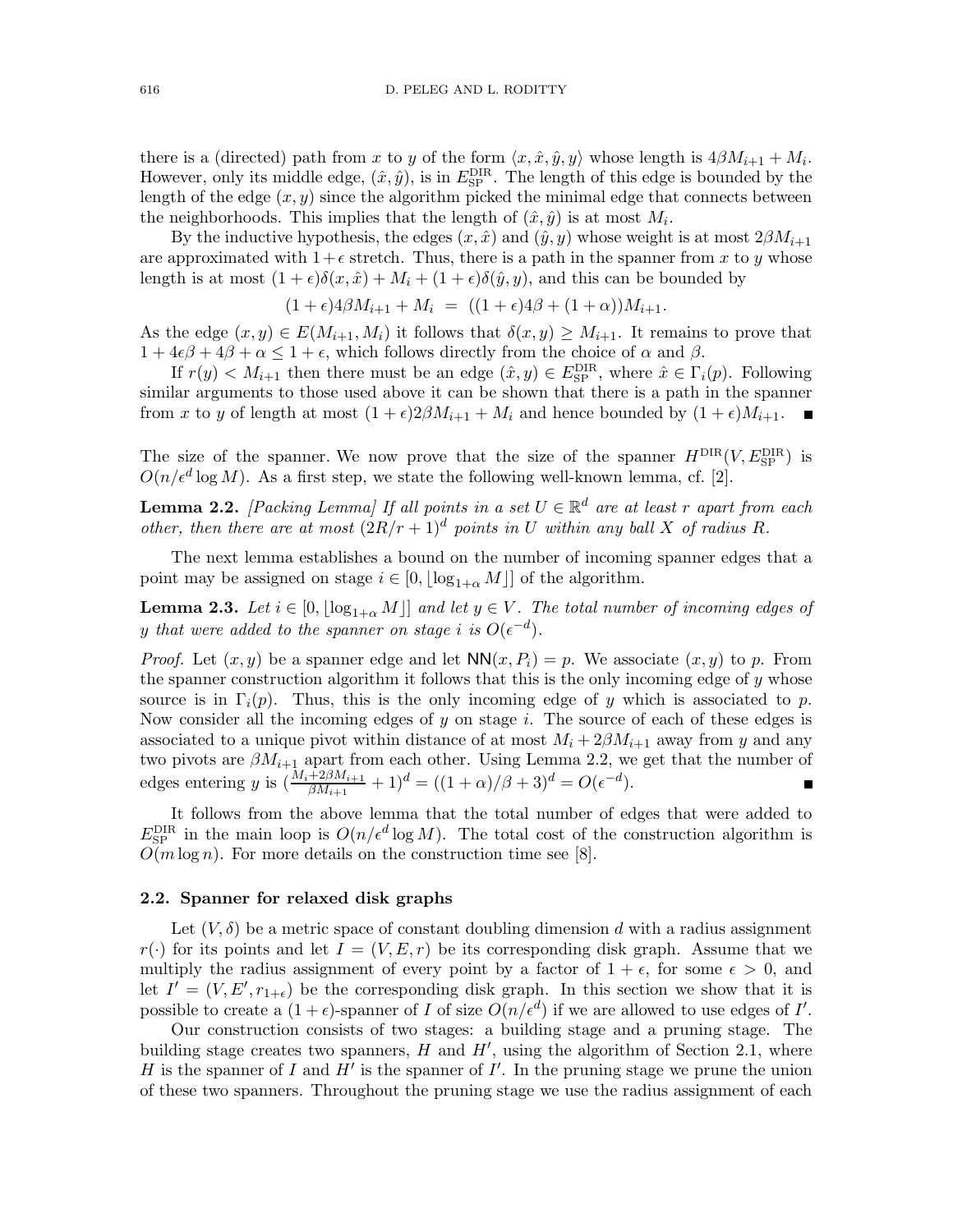there is a (directed) path from x to y of the form  $\langle x, \hat{x}, \hat{y}, y \rangle$  whose length is  $4\beta M_{i+1} + M_i$ . However, only its middle edge,  $(\hat{x}, \hat{y})$ , is in  $E_{\text{SP}}^{\text{DIR}}$ . The length of this edge is bounded by the length of the edge  $(x, y)$  since the algorithm picked the minimal edge that connects between the neighborhoods. This implies that the length of  $(\hat{x}, \hat{y})$  is at most  $M_i$ .

By the inductive hypothesis, the edges  $(x, \hat{x})$  and  $(\hat{y}, y)$  whose weight is at most  $2\beta M_{i+1}$ are approximated with  $1+\epsilon$  stretch. Thus, there is a path in the spanner from x to y whose length is at most  $(1 + \epsilon)\delta(x, \hat{x}) + M_i + (1 + \epsilon)\delta(\hat{y}, y)$ , and this can be bounded by

$$
(1+\epsilon)4\beta M_{i+1} + M_i = ((1+\epsilon)4\beta + (1+\alpha))M_{i+1}.
$$

As the edge  $(x, y) \in E(M_{i+1}, M_i)$  it follows that  $\delta(x, y) \geq M_{i+1}$ . It remains to prove that  $1 + 4\epsilon\beta + 4\beta + \alpha \leq 1 + \epsilon$ , which follows directly from the choice of  $\alpha$  and  $\beta$ .

If  $r(y) < M_{i+1}$  then there must be an edge  $(\hat{x}, y) \in E_{\text{SP}}^{\text{DIR}}$ , where  $\hat{x} \in \Gamma_i(p)$ . Following similar arguments to those used above it can be shown that there is a path in the spanner from x to y of length at most  $(1 + \epsilon)2\beta M_{i+1} + M_i$  and hence bounded by  $(1 + \epsilon)M_{i+1}$ .

The size of the spanner. We now prove that the size of the spanner  $H^{DIR}(V, E_{SP}^{DIR})$  is  $O(n/\epsilon^d \log M)$ . As a first step, we state the following well-known lemma, cf. [2].

**Lemma 2.2.** [Packing Lemma] If all points in a set  $U \in \mathbb{R}^d$  are at least r apart from each other, then there are at most  $(2R/r + 1)^d$  points in U within any ball X of radius R.

The next lemma establishes a bound on the number of incoming spanner edges that a point may be assigned on stage  $i \in [0, \lfloor \log_{1+\alpha} M \rfloor]$  of the algorithm.

**Lemma 2.3.** Let  $i \in [0, \lfloor \log_{1+\alpha} M \rfloor]$  and let  $y \in V$ . The total number of incoming edges of y that were added to the spanner on stage i is  $O(\epsilon^{-d})$ .

*Proof.* Let  $(x, y)$  be a spanner edge and let  $NN(x, P_i) = p$ . We associate  $(x, y)$  to p. From the spanner construction algorithm it follows that this is the only incoming edge of  $y$  whose source is in  $\Gamma_i(p)$ . Thus, this is the only incoming edge of y which is associated to p. Now consider all the incoming edges of  $y$  on stage i. The source of each of these edges is associated to a unique pivot within distance of at most  $M_i + 2\beta M_{i+1}$  away from y and any two pivots are  $\beta M_{i+1}$  apart from each other. Using Lemma 2.2, we get that the number of edges entering y is  $\left(\frac{M_i + 2\beta M_{i+1}}{\beta M_{i+1}} + 1\right)^d = \left((1 + \alpha)/\beta + 3\right)^d = O(\epsilon^{-d}).$ 

It follows from the above lemma that the total number of edges that were added to  $E_{\rm SP}^{\rm DIR}$  in the main loop is  $O(n/\epsilon^d \log M)$ . The total cost of the construction algorithm is  $O(m \log n)$ . For more details on the construction time see [8].

#### 2.2. Spanner for relaxed disk graphs

Let  $(V, \delta)$  be a metric space of constant doubling dimension d with a radius assignment  $r(\cdot)$  for its points and let  $I = (V, E, r)$  be its corresponding disk graph. Assume that we multiply the radius assignment of every point by a factor of  $1 + \epsilon$ , for some  $\epsilon > 0$ , and let  $I' = (V, E', r_{1+\epsilon})$  be the corresponding disk graph. In this section we show that it is possible to create a  $(1+\epsilon)$ -spanner of I of size  $O(n/\epsilon^d)$  if we are allowed to use edges of I'.

Our construction consists of two stages: a building stage and a pruning stage. The building stage creates two spanners,  $H$  and  $H'$ , using the algorithm of Section 2.1, where H is the spanner of I and  $H'$  is the spanner of I'. In the pruning stage we prune the union of these two spanners. Throughout the pruning stage we use the radius assignment of each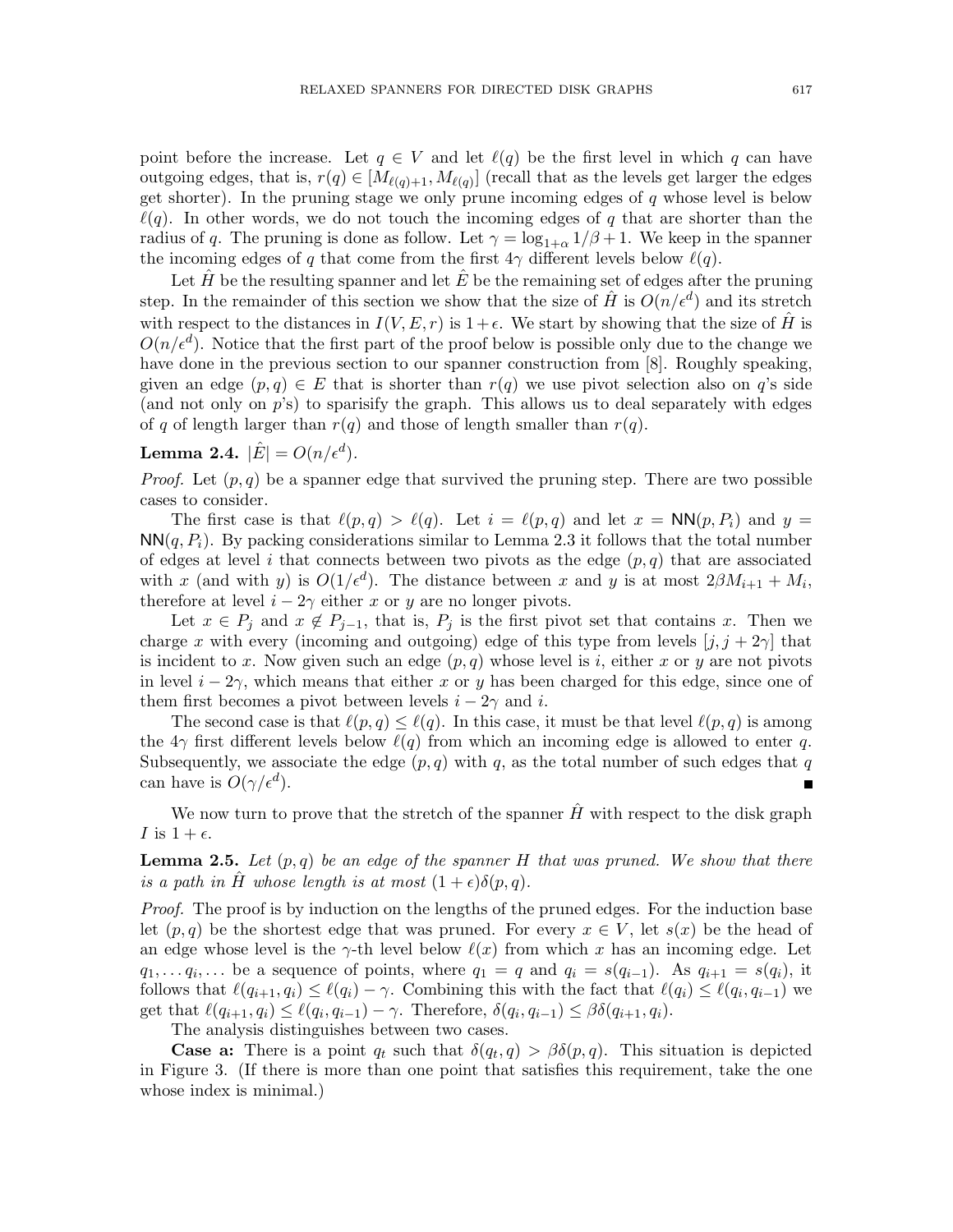point before the increase. Let  $q \in V$  and let  $\ell(q)$  be the first level in which q can have outgoing edges, that is,  $r(q) \in [M_{\ell(q)+1}, M_{\ell(q)}]$  (recall that as the levels get larger the edges get shorter). In the pruning stage we only prune incoming edges of  $q$  whose level is below  $\ell(q)$ . In other words, we do not touch the incoming edges of q that are shorter than the radius of q. The pruning is done as follow. Let  $\gamma = \log_{1+\alpha} 1/\beta + 1$ . We keep in the spanner the incoming edges of q that come from the first  $4\gamma$  different levels below  $\ell(q)$ .

Let  $\hat{H}$  be the resulting spanner and let  $\hat{E}$  be the remaining set of edges after the pruning step. In the remainder of this section we show that the size of  $\hat{H}$  is  $O(n/\epsilon^d)$  and its stretch with respect to the distances in  $I(V, E, r)$  is  $1+\epsilon$ . We start by showing that the size of H is  $O(n/\epsilon^d)$ . Notice that the first part of the proof below is possible only due to the change we have done in the previous section to our spanner construction from [8]. Roughly speaking, given an edge  $(p, q) \in E$  that is shorter than  $r(q)$  we use pivot selection also on q's side (and not only on  $p$ 's) to sparisify the graph. This allows us to deal separately with edges of q of length larger than  $r(q)$  and those of length smaller than  $r(q)$ .

Lemma 2.4.  $|\hat{E}| = O(n/\epsilon^d)$ .

*Proof.* Let  $(p, q)$  be a spanner edge that survived the pruning step. There are two possible cases to consider.

The first case is that  $\ell(p,q) > \ell(q)$ . Let  $i = \ell(p,q)$  and let  $x = NN(p, P_i)$  and  $y =$  $NN(q, P_i)$ . By packing considerations similar to Lemma 2.3 it follows that the total number of edges at level i that connects between two pivots as the edge  $(p, q)$  that are associated with x (and with y) is  $O(1/\epsilon^d)$ . The distance between x and y is at most  $2\beta M_{i+1} + M_i$ , therefore at level  $i - 2\gamma$  either x or y are no longer pivots.

Let  $x \in P_j$  and  $x \notin P_{j-1}$ , that is,  $P_j$  is the first pivot set that contains x. Then we charge x with every (incoming and outgoing) edge of this type from levels  $[j, j + 2\gamma]$  that is incident to x. Now given such an edge  $(p, q)$  whose level is i, either x or y are not pivots in level  $i - 2\gamma$ , which means that either x or y has been charged for this edge, since one of them first becomes a pivot between levels  $i - 2\gamma$  and i.

The second case is that  $\ell(p,q) \leq \ell(q)$ . In this case, it must be that level  $\ell(p,q)$  is among the  $4\gamma$  first different levels below  $\ell(q)$  from which an incoming edge is allowed to enter q. Subsequently, we associate the edge  $(p, q)$  with q, as the total number of such edges that q can have is  $O(\gamma/\epsilon^d)$ .

We now turn to prove that the stretch of the spanner  $\hat{H}$  with respect to the disk graph I is  $1 + \epsilon$ .

**Lemma 2.5.** Let  $(p,q)$  be an edge of the spanner H that was pruned. We show that there is a path in H whose length is at most  $(1+\epsilon)\delta(p,q)$ .

Proof. The proof is by induction on the lengths of the pruned edges. For the induction base let  $(p, q)$  be the shortest edge that was pruned. For every  $x \in V$ , let  $s(x)$  be the head of an edge whose level is the  $\gamma$ -th level below  $\ell(x)$  from which x has an incoming edge. Let  $q_1, \ldots q_i, \ldots$  be a sequence of points, where  $q_1 = q$  and  $q_i = s(q_{i-1})$ . As  $q_{i+1} = s(q_i)$ , it follows that  $\ell(q_{i+1}, q_i) \leq \ell(q_i) - \gamma$ . Combining this with the fact that  $\ell(q_i) \leq \ell(q_i, q_{i-1})$  we get that  $\ell(q_{i+1}, q_i) \leq \ell(q_i, q_{i-1}) - \gamma$ . Therefore,  $\delta(q_i, q_{i-1}) \leq \beta \delta(q_{i+1}, q_i)$ .

The analysis distinguishes between two cases.

**Case a:** There is a point  $q_t$  such that  $\delta(q_t, q) > \beta \delta(p, q)$ . This situation is depicted in Figure 3. (If there is more than one point that satisfies this requirement, take the one whose index is minimal.)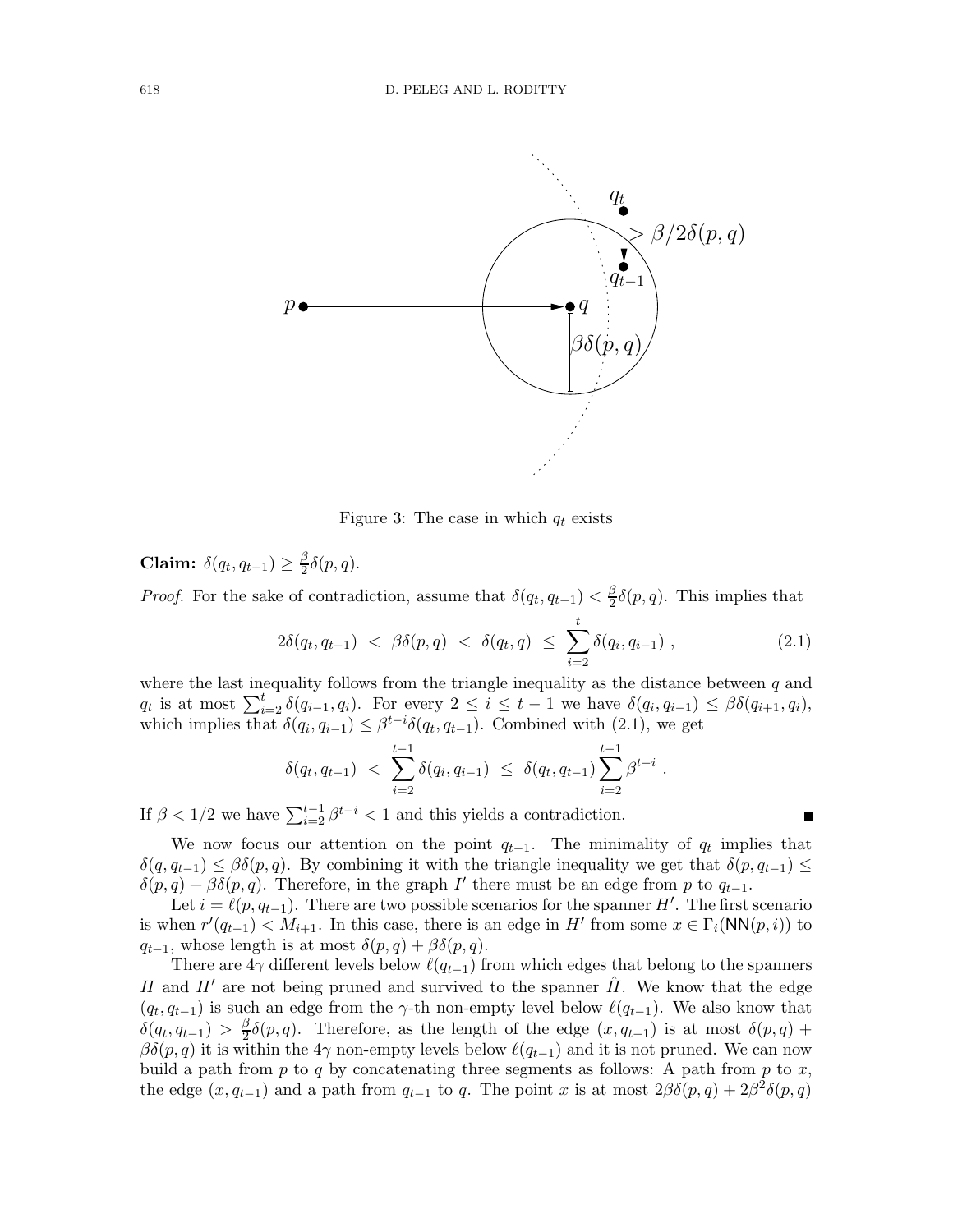

Figure 3: The case in which  $q_t$  exists

Claim:  $\delta(q_t, q_{t-1}) \geq \frac{\beta}{2}$  $\frac{\beta}{2}\delta(p,q).$ 

*Proof.* For the sake of contradiction, assume that  $\delta(q_t, q_{t-1}) < \frac{\beta}{2}$  $\frac{\beta}{2}\delta(p,q)$ . This implies that

$$
2\delta(q_t, q_{t-1}) < \beta\delta(p, q) < \delta(q_t, q) \leq \sum_{i=2}^t \delta(q_i, q_{i-1}), \tag{2.1}
$$

.

where the last inequality follows from the triangle inequality as the distance between  $q$  and  $q_t$  is at most  $\sum_{i=2}^t \delta(q_{i-1}, q_i)$ . For every  $2 \leq i \leq t-1$  we have  $\delta(q_i, q_{i-1}) \leq \beta \delta(q_{i+1}, q_i)$ , which implies that  $\delta(q_i, q_{i-1}) \leq \beta^{t-i} \delta(q_t, q_{t-1})$ . Combined with (2.1), we get

$$
\delta(q_t, q_{t-1}) \ < \ \sum_{i=2}^{t-1} \delta(q_i, q_{i-1}) \ \le \ \delta(q_t, q_{t-1}) \sum_{i=2}^{t-1} \beta^{t-i}
$$

If  $\beta < 1/2$  we have  $\sum_{i=2}^{t-1} \beta^{t-i} < 1$  and this yields a contradiction.

We now focus our attention on the point  $q_{t-1}$ . The minimality of  $q_t$  implies that  $\delta(q, q_{t-1}) \leq \beta \delta(p, q)$ . By combining it with the triangle inequality we get that  $\delta(p, q_{t-1}) \leq$  $\delta(p,q) + \beta \delta(p,q)$ . Therefore, in the graph I' there must be an edge from p to  $q_{t-1}$ .

Let  $i = \ell(p, q_{t-1})$ . There are two possible scenarios for the spanner H'. The first scenario is when  $r'(q_{t-1}) < M_{i+1}$ . In this case, there is an edge in H' from some  $x \in \Gamma_i(\mathsf{NN}(p,i))$  to  $q_{t-1}$ , whose length is at most  $\delta(p,q) + \beta \delta(p,q)$ .

There are  $4\gamma$  different levels below  $\ell(q_{t-1})$  from which edges that belong to the spanners H and  $H'$  are not being pruned and survived to the spanner H. We know that the edge  $(q_t, q_{t-1})$  is such an edge from the γ-th non-empty level below  $\ell(q_{t-1})$ . We also know that  $\delta(q_t, q_{t-1}) > \frac{\beta}{2}$  $\frac{\beta}{2}\delta(p,q)$ . Therefore, as the length of the edge  $(x, q_{t-1})$  is at most  $\delta(p,q)$  +  $\beta\delta(p,q)$  it is within the 4 $\gamma$  non-empty levels below  $\ell(q_{t-1})$  and it is not pruned. We can now build a path from  $p$  to  $q$  by concatenating three segments as follows: A path from  $p$  to  $x$ , the edge  $(x, q_{t-1})$  and a path from  $q_{t-1}$  to q. The point x is at most  $2\beta\delta(p, q) + 2\beta^2\delta(p, q)$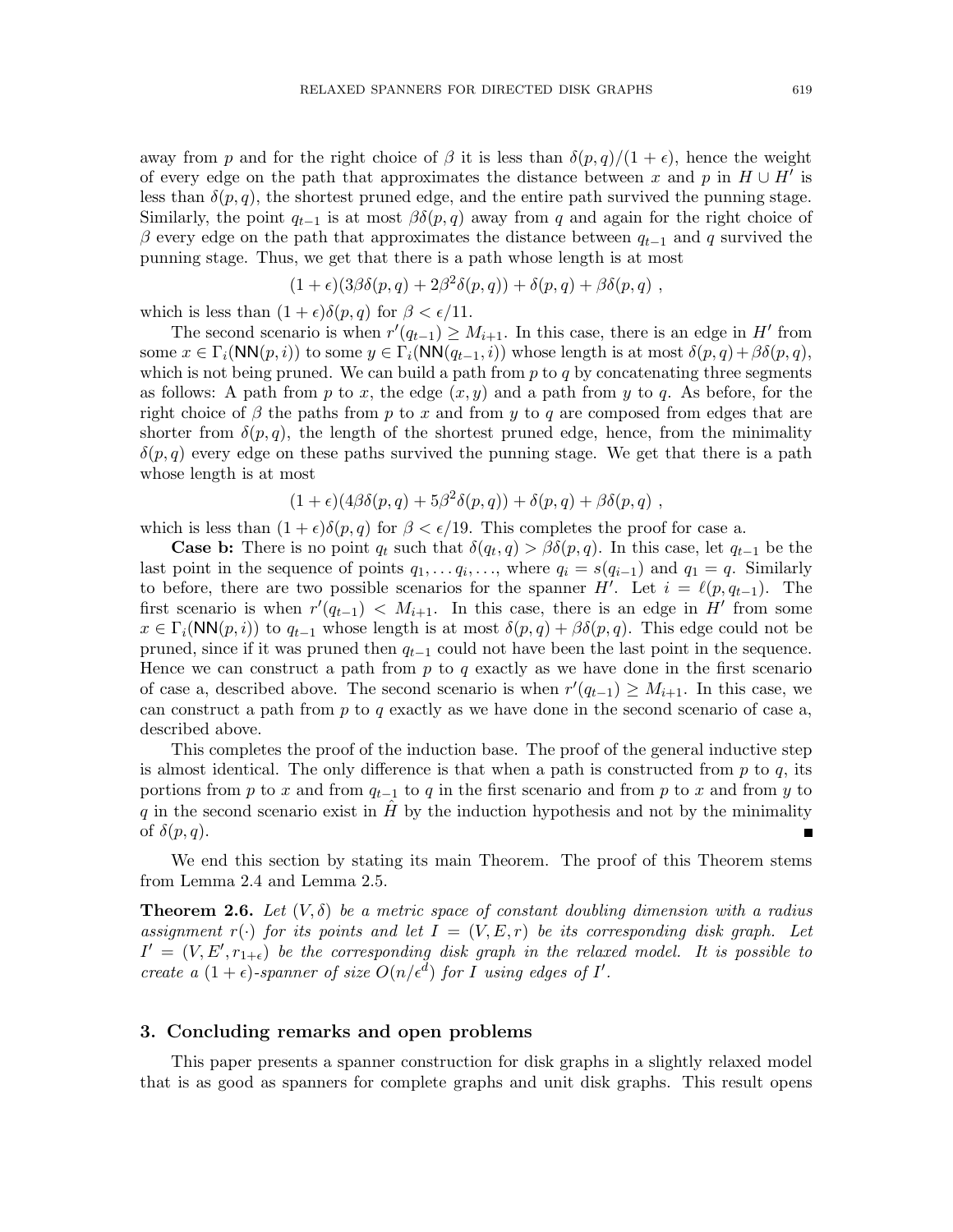away from p and for the right choice of  $\beta$  it is less than  $\delta(p,q)/(1+\epsilon)$ , hence the weight of every edge on the path that approximates the distance between x and p in  $H \cup H'$  is less than  $\delta(p,q)$ , the shortest pruned edge, and the entire path survived the punning stage. Similarly, the point  $q_{t-1}$  is at most  $\beta\delta(p,q)$  away from q and again for the right choice of β every edge on the path that approximates the distance between  $q_{t-1}$  and q survived the punning stage. Thus, we get that there is a path whose length is at most

$$
(1+\epsilon)(3\beta\delta(p,q)+2\beta^2\delta(p,q))+\delta(p,q)+\beta\delta(p,q)
$$

which is less than  $(1 + \epsilon)\delta(p, q)$  for  $\beta < \epsilon/11$ .

The second scenario is when  $r'(q_{t-1}) \geq M_{i+1}$ . In this case, there is an edge in H' from some  $x \in \Gamma_i(\mathsf{NN}(p,i))$  to some  $y \in \Gamma_i(\mathsf{NN}(q_{t-1}, i))$  whose length is at most  $\delta(p,q) + \beta \delta(p,q)$ , which is not being pruned. We can build a path from  $p$  to  $q$  by concatenating three segments as follows: A path from p to x, the edge  $(x, y)$  and a path from y to q. As before, for the right choice of  $\beta$  the paths from p to x and from y to q are composed from edges that are shorter from  $\delta(p,q)$ , the length of the shortest pruned edge, hence, from the minimality  $\delta(p,q)$  every edge on these paths survived the punning stage. We get that there is a path whose length is at most

$$
(1+\epsilon)(4\beta\delta(p,q)+5\beta^2\delta(p,q))+\delta(p,q)+\beta\delta(p,q),
$$

which is less than  $(1 + \epsilon)\delta(p,q)$  for  $\beta < \epsilon/19$ . This completes the proof for case a.

**Case b:** There is no point  $q_t$  such that  $\delta(q_t, q) > \beta \delta(p, q)$ . In this case, let  $q_{t-1}$  be the last point in the sequence of points  $q_1, \ldots, q, \ldots,$  where  $q_i = s(q_{i-1})$  and  $q_1 = q$ . Similarly to before, there are two possible scenarios for the spanner H'. Let  $i = \ell(p, q_{t-1})$ . The first scenario is when  $r'(q_{t-1}) < M_{i+1}$ . In this case, there is an edge in H' from some  $x \in \Gamma_i(NN(p, i))$  to  $q_{t-1}$  whose length is at most  $\delta(p, q) + \beta \delta(p, q)$ . This edge could not be pruned, since if it was pruned then  $q_{t-1}$  could not have been the last point in the sequence. Hence we can construct a path from  $p$  to  $q$  exactly as we have done in the first scenario of case a, described above. The second scenario is when  $r'(q_{t-1}) \geq M_{i+1}$ . In this case, we can construct a path from  $p$  to  $q$  exactly as we have done in the second scenario of case a, described above.

This completes the proof of the induction base. The proof of the general inductive step is almost identical. The only difference is that when a path is constructed from  $p$  to  $q$ , its portions from p to x and from  $q_{t-1}$  to q in the first scenario and from p to x and from y to q in the second scenario exist in  $H$  by the induction hypothesis and not by the minimality of  $\delta(p,q)$ .

We end this section by stating its main Theorem. The proof of this Theorem stems from Lemma 2.4 and Lemma 2.5.

**Theorem 2.6.** Let  $(V, \delta)$  be a metric space of constant doubling dimension with a radius assignment  $r(\cdot)$  for its points and let  $I = (V, E, r)$  be its corresponding disk graph. Let  $I' = (V, E', r_{1+\epsilon})$  be the corresponding disk graph in the relaxed model. It is possible to create a  $(1+\epsilon)$ -spanner of size  $O(n/\epsilon^d)$  for I using edges of I'.

#### 3. Concluding remarks and open problems

This paper presents a spanner construction for disk graphs in a slightly relaxed model that is as good as spanners for complete graphs and unit disk graphs. This result opens